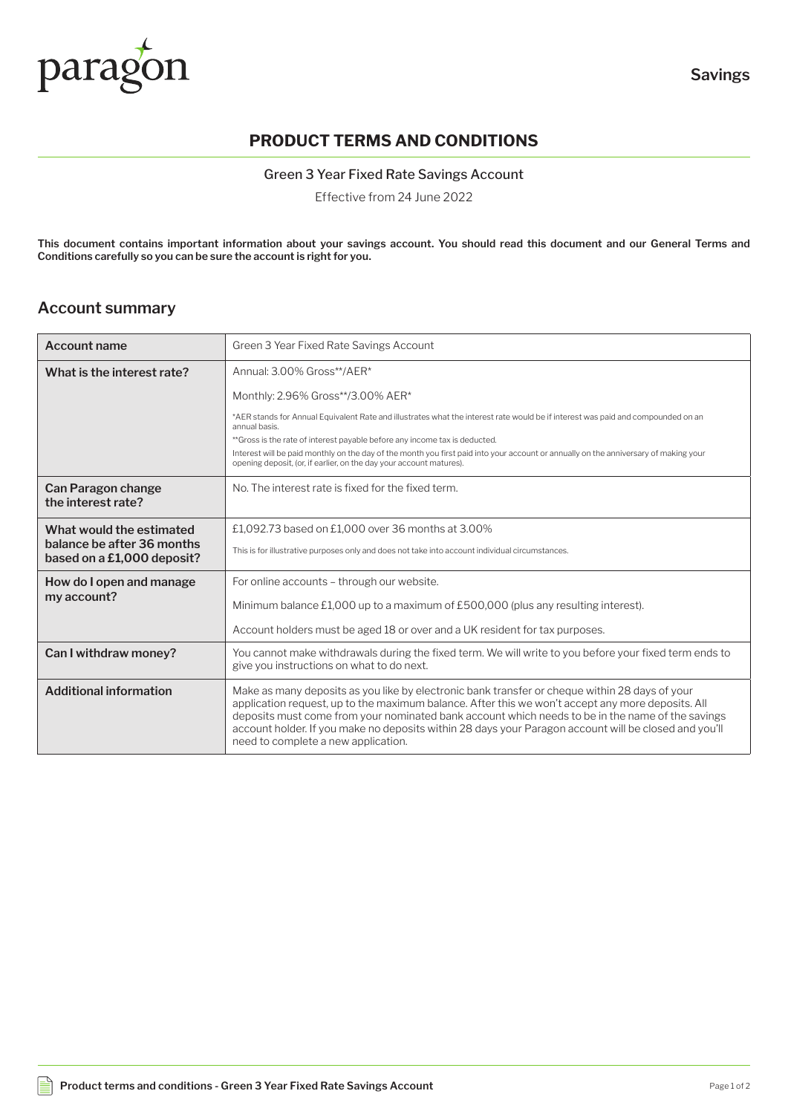

# **PRODUCT TERMS AND CONDITIONS**

Green 3 Year Fixed Rate Savings Account

Effective from 24 June 2022

**This document contains important information about your savings account. You should read this document and our General Terms and Conditions carefully so you can be sure the account is right for you.**

### **Account summary**

| <b>Account name</b>                                                                  | Green 3 Year Fixed Rate Savings Account                                                                                                                                                                                                                                                                                                                                                                                                                 |
|--------------------------------------------------------------------------------------|---------------------------------------------------------------------------------------------------------------------------------------------------------------------------------------------------------------------------------------------------------------------------------------------------------------------------------------------------------------------------------------------------------------------------------------------------------|
| What is the interest rate?                                                           | Annual: 3.00% Gross**/AER*                                                                                                                                                                                                                                                                                                                                                                                                                              |
|                                                                                      | Monthly: 2.96% Gross**/3.00% AER*                                                                                                                                                                                                                                                                                                                                                                                                                       |
|                                                                                      | *AER stands for Annual Equivalent Rate and illustrates what the interest rate would be if interest was paid and compounded on an<br>annual basis.                                                                                                                                                                                                                                                                                                       |
|                                                                                      | **Gross is the rate of interest payable before any income tax is deducted.                                                                                                                                                                                                                                                                                                                                                                              |
|                                                                                      | Interest will be paid monthly on the day of the month you first paid into your account or annually on the anniversary of making your<br>opening deposit, (or, if earlier, on the day your account matures).                                                                                                                                                                                                                                             |
| Can Paragon change<br>the interest rate?                                             | No. The interest rate is fixed for the fixed term.                                                                                                                                                                                                                                                                                                                                                                                                      |
| What would the estimated<br>balance be after 36 months<br>based on a £1,000 deposit? | £1,092.73 based on £1,000 over 36 months at 3.00%                                                                                                                                                                                                                                                                                                                                                                                                       |
|                                                                                      | This is for illustrative purposes only and does not take into account individual circumstances.                                                                                                                                                                                                                                                                                                                                                         |
| How do I open and manage<br>my account?                                              | For online accounts - through our website.                                                                                                                                                                                                                                                                                                                                                                                                              |
|                                                                                      | Minimum balance £1,000 up to a maximum of £500,000 (plus any resulting interest).                                                                                                                                                                                                                                                                                                                                                                       |
|                                                                                      | Account holders must be aged 18 or over and a UK resident for tax purposes.                                                                                                                                                                                                                                                                                                                                                                             |
| Can I withdraw money?                                                                | You cannot make withdrawals during the fixed term. We will write to you before your fixed term ends to<br>give you instructions on what to do next.                                                                                                                                                                                                                                                                                                     |
| <b>Additional information</b>                                                        | Make as many deposits as you like by electronic bank transfer or cheque within 28 days of your<br>application request, up to the maximum balance. After this we won't accept any more deposits. All<br>deposits must come from your nominated bank account which needs to be in the name of the savings<br>account holder. If you make no deposits within 28 days your Paragon account will be closed and you'll<br>need to complete a new application. |